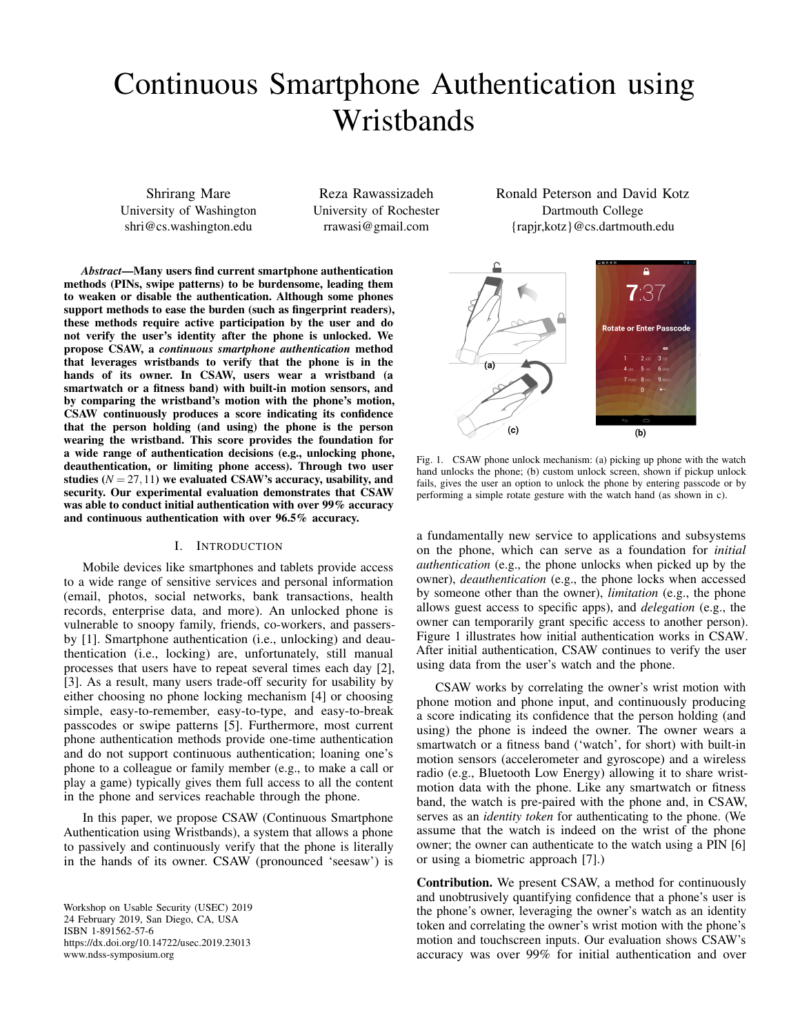# Continuous Smartphone Authentication using Wristbands

Shrirang Mare University of Washington shri@cs.washington.edu

Reza Rawassizadeh University of Rochester rrawasi@gmail.com

*Abstract*—Many users find current smartphone authentication methods (PINs, swipe patterns) to be burdensome, leading them to weaken or disable the authentication. Although some phones support methods to ease the burden (such as fingerprint readers), these methods require active participation by the user and do not verify the user's identity after the phone is unlocked. We propose CSAW, a *continuous smartphone authentication* method that leverages wristbands to verify that the phone is in the hands of its owner. In CSAW, users wear a wristband (a smartwatch or a fitness band) with built-in motion sensors, and by comparing the wristband's motion with the phone's motion, CSAW continuously produces a score indicating its confidence that the person holding (and using) the phone is the person wearing the wristband. This score provides the foundation for a wide range of authentication decisions (e.g., unlocking phone, deauthentication, or limiting phone access). Through two user studies  $(N = 27, 11)$  we evaluated CSAW's accuracy, usability, and security. Our experimental evaluation demonstrates that CSAW was able to conduct initial authentication with over 99% accuracy and continuous authentication with over 96.5% accuracy.

### I. INTRODUCTION

<span id="page-0-1"></span>Mobile devices like smartphones and tablets provide access to a wide range of sensitive services and personal information (email, photos, social networks, bank transactions, health records, enterprise data, and more). An unlocked phone is vulnerable to snoopy family, friends, co-workers, and passersby [\[1\]](#page-10-0). Smartphone authentication (i.e., unlocking) and deauthentication (i.e., locking) are, unfortunately, still manual processes that users have to repeat several times each day [\[2\]](#page-10-1), [\[3\]](#page-10-2). As a result, many users trade-off security for usability by either choosing no phone locking mechanism [\[4\]](#page-10-3) or choosing simple, easy-to-remember, easy-to-type, and easy-to-break passcodes or swipe patterns [\[5\]](#page-10-4). Furthermore, most current phone authentication methods provide one-time authentication and do not support continuous authentication; loaning one's phone to a colleague or family member (e.g., to make a call or play a game) typically gives them full access to all the content in the phone and services reachable through the phone.

In this paper, we propose CSAW (Continuous Smartphone Authentication using Wristbands), a system that allows a phone to passively and continuously verify that the phone is literally in the hands of its owner. CSAW (pronounced 'seesaw') is

Workshop on Usable Security (USEC) 2019 24 February 2019, San Diego, CA, USA ISBN 1-891562-57-6 https://dx.doi.org/10.14722/usec.2019.23013 www.ndss-symposium.org

Ronald Peterson and David Kotz Dartmouth College {rapjr,kotz}@cs.dartmouth.edu



<span id="page-0-0"></span>Fig. 1. CSAW phone unlock mechanism: (a) picking up phone with the watch hand unlocks the phone; (b) custom unlock screen, shown if pickup unlock fails, gives the user an option to unlock the phone by entering passcode or by performing a simple rotate gesture with the watch hand (as shown in c).

a fundamentally new service to applications and subsystems on the phone, which can serve as a foundation for *initial authentication* (e.g., the phone unlocks when picked up by the owner), *deauthentication* (e.g., the phone locks when accessed by someone other than the owner), *limitation* (e.g., the phone allows guest access to specific apps), and *delegation* (e.g., the owner can temporarily grant specific access to another person). Figure [1](#page-0-0) illustrates how initial authentication works in CSAW. After initial authentication, CSAW continues to verify the user using data from the user's watch and the phone.

CSAW works by correlating the owner's wrist motion with phone motion and phone input, and continuously producing a score indicating its confidence that the person holding (and using) the phone is indeed the owner. The owner wears a smartwatch or a fitness band ('watch', for short) with built-in motion sensors (accelerometer and gyroscope) and a wireless radio (e.g., Bluetooth Low Energy) allowing it to share wristmotion data with the phone. Like any smartwatch or fitness band, the watch is pre-paired with the phone and, in CSAW, serves as an *identity token* for authenticating to the phone. (We assume that the watch is indeed on the wrist of the phone owner; the owner can authenticate to the watch using a PIN [\[6\]](#page-10-5) or using a biometric approach [\[7\]](#page-10-6).)

Contribution. We present CSAW, a method for continuously and unobtrusively quantifying confidence that a phone's user is the phone's owner, leveraging the owner's watch as an identity token and correlating the owner's wrist motion with the phone's motion and touchscreen inputs. Our evaluation shows CSAW's accuracy was over 99% for initial authentication and over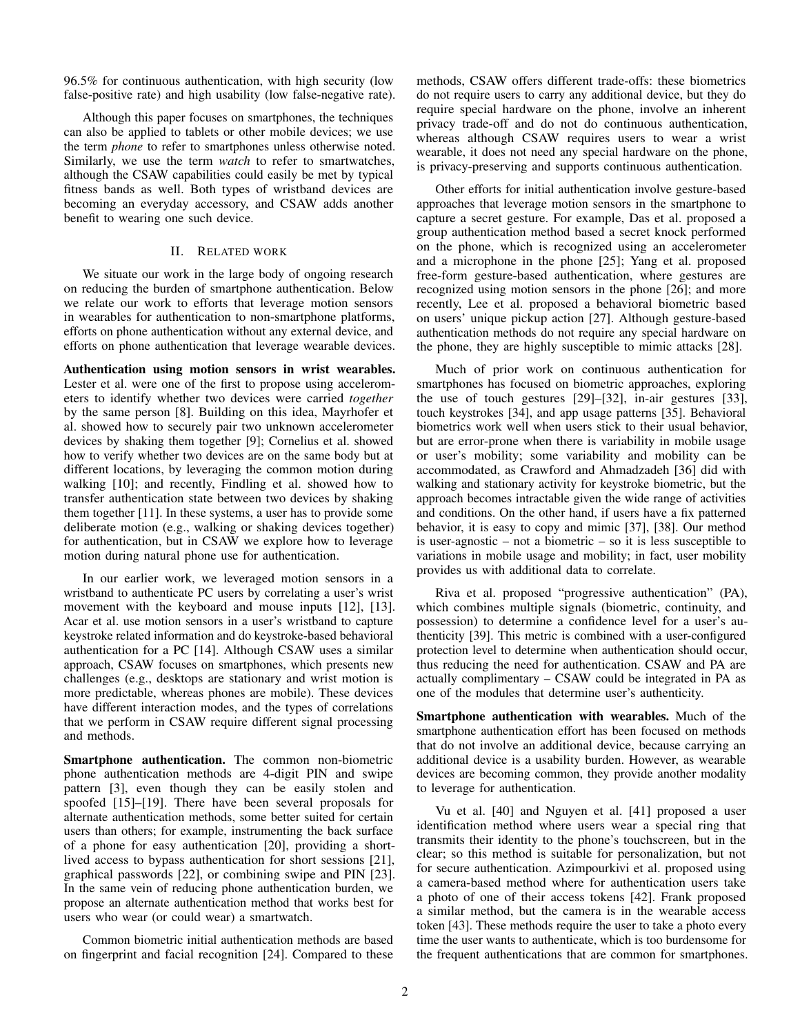96.5% for continuous authentication, with high security (low false-positive rate) and high usability (low false-negative rate).

Although this paper focuses on smartphones, the techniques can also be applied to tablets or other mobile devices; we use the term *phone* to refer to smartphones unless otherwise noted. Similarly, we use the term *watch* to refer to smartwatches, although the CSAW capabilities could easily be met by typical fitness bands as well. Both types of wristband devices are becoming an everyday accessory, and CSAW adds another benefit to wearing one such device.

## II. RELATED WORK

We situate our work in the large body of ongoing research on reducing the burden of smartphone authentication. Below we relate our work to efforts that leverage motion sensors in wearables for authentication to non-smartphone platforms, efforts on phone authentication without any external device, and efforts on phone authentication that leverage wearable devices.

Authentication using motion sensors in wrist wearables. Lester et al. were one of the first to propose using accelerometers to identify whether two devices were carried *together* by the same person [\[8\]](#page-10-7). Building on this idea, Mayrhofer et al. showed how to securely pair two unknown accelerometer devices by shaking them together [\[9\]](#page-10-8); Cornelius et al. showed how to verify whether two devices are on the same body but at different locations, by leveraging the common motion during walking [\[10\]](#page-10-9); and recently, Findling et al. showed how to transfer authentication state between two devices by shaking them together [\[11\]](#page-10-10). In these systems, a user has to provide some deliberate motion (e.g., walking or shaking devices together) for authentication, but in CSAW we explore how to leverage motion during natural phone use for authentication.

In our earlier work, we leveraged motion sensors in a wristband to authenticate PC users by correlating a user's wrist movement with the keyboard and mouse inputs [\[12\]](#page-10-11), [\[13\]](#page-10-12). Acar et al. use motion sensors in a user's wristband to capture keystroke related information and do keystroke-based behavioral authentication for a PC [\[14\]](#page-10-13). Although CSAW uses a similar approach, CSAW focuses on smartphones, which presents new challenges (e.g., desktops are stationary and wrist motion is more predictable, whereas phones are mobile). These devices have different interaction modes, and the types of correlations that we perform in CSAW require different signal processing and methods.

Smartphone authentication. The common non-biometric phone authentication methods are 4-digit PIN and swipe pattern [\[3\]](#page-10-2), even though they can be easily stolen and spoofed [\[15\]](#page-10-14)–[\[19\]](#page-10-15). There have been several proposals for alternate authentication methods, some better suited for certain users than others; for example, instrumenting the back surface of a phone for easy authentication [\[20\]](#page-10-16), providing a shortlived access to bypass authentication for short sessions [\[21\]](#page-10-17), graphical passwords [\[22\]](#page-10-18), or combining swipe and PIN [\[23\]](#page-10-19). In the same vein of reducing phone authentication burden, we propose an alternate authentication method that works best for users who wear (or could wear) a smartwatch.

Common biometric initial authentication methods are based on fingerprint and facial recognition [\[24\]](#page-10-20). Compared to these methods, CSAW offers different trade-offs: these biometrics do not require users to carry any additional device, but they do require special hardware on the phone, involve an inherent privacy trade-off and do not do continuous authentication, whereas although CSAW requires users to wear a wrist wearable, it does not need any special hardware on the phone, is privacy-preserving and supports continuous authentication.

Other efforts for initial authentication involve gesture-based approaches that leverage motion sensors in the smartphone to capture a secret gesture. For example, Das et al. proposed a group authentication method based a secret knock performed on the phone, which is recognized using an accelerometer and a microphone in the phone [\[25\]](#page-10-21); Yang et al. proposed free-form gesture-based authentication, where gestures are recognized using motion sensors in the phone [\[26\]](#page-10-22); and more recently, Lee et al. proposed a behavioral biometric based on users' unique pickup action [\[27\]](#page-10-23). Although gesture-based authentication methods do not require any special hardware on the phone, they are highly susceptible to mimic attacks [\[28\]](#page-10-24).

Much of prior work on continuous authentication for smartphones has focused on biometric approaches, exploring the use of touch gestures [\[29\]](#page-10-25)–[\[32\]](#page-10-26), in-air gestures [\[33\]](#page-10-27), touch keystrokes [\[34\]](#page-10-28), and app usage patterns [\[35\]](#page-11-0). Behavioral biometrics work well when users stick to their usual behavior, but are error-prone when there is variability in mobile usage or user's mobility; some variability and mobility can be accommodated, as Crawford and Ahmadzadeh [\[36\]](#page-11-1) did with walking and stationary activity for keystroke biometric, but the approach becomes intractable given the wide range of activities and conditions. On the other hand, if users have a fix patterned behavior, it is easy to copy and mimic [\[37\]](#page-11-2), [\[38\]](#page-11-3). Our method is user-agnostic – not a biometric – so it is less susceptible to variations in mobile usage and mobility; in fact, user mobility provides us with additional data to correlate.

Riva et al. proposed "progressive authentication" (PA), which combines multiple signals (biometric, continuity, and possession) to determine a confidence level for a user's authenticity [\[39\]](#page-11-4). This metric is combined with a user-configured protection level to determine when authentication should occur, thus reducing the need for authentication. CSAW and PA are actually complimentary – CSAW could be integrated in PA as one of the modules that determine user's authenticity.

Smartphone authentication with wearables. Much of the smartphone authentication effort has been focused on methods that do not involve an additional device, because carrying an additional device is a usability burden. However, as wearable devices are becoming common, they provide another modality to leverage for authentication.

Vu et al. [\[40\]](#page-11-5) and Nguyen et al. [\[41\]](#page-11-6) proposed a user identification method where users wear a special ring that transmits their identity to the phone's touchscreen, but in the clear; so this method is suitable for personalization, but not for secure authentication. Azimpourkivi et al. proposed using a camera-based method where for authentication users take a photo of one of their access tokens [\[42\]](#page-11-7). Frank proposed a similar method, but the camera is in the wearable access token [\[43\]](#page-11-8). These methods require the user to take a photo every time the user wants to authenticate, which is too burdensome for the frequent authentications that are common for smartphones.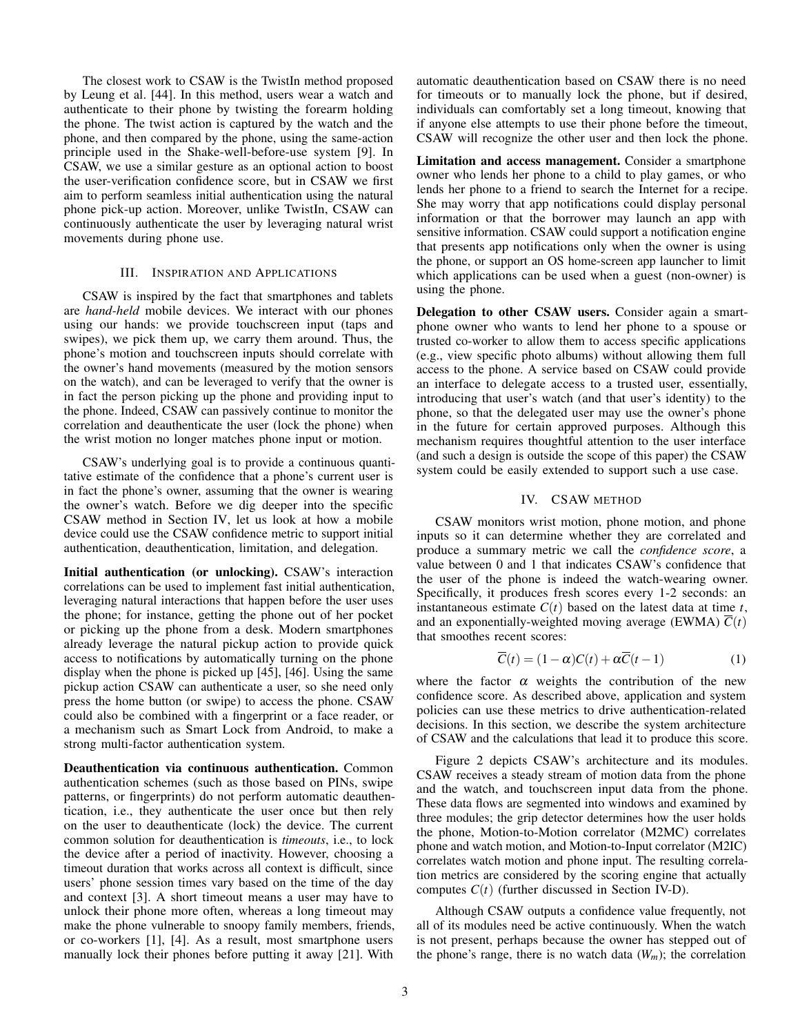The closest work to CSAW is the TwistIn method proposed by Leung et al. [\[44\]](#page-11-9). In this method, users wear a watch and authenticate to their phone by twisting the forearm holding the phone. The twist action is captured by the watch and the phone, and then compared by the phone, using the same-action principle used in the Shake-well-before-use system [\[9\]](#page-10-8). In CSAW, we use a similar gesture as an optional action to boost the user-verification confidence score, but in CSAW we first aim to perform seamless initial authentication using the natural phone pick-up action. Moreover, unlike TwistIn, CSAW can continuously authenticate the user by leveraging natural wrist movements during phone use.

## III. INSPIRATION AND APPLICATIONS

CSAW is inspired by the fact that smartphones and tablets are *hand-held* mobile devices. We interact with our phones using our hands: we provide touchscreen input (taps and swipes), we pick them up, we carry them around. Thus, the phone's motion and touchscreen inputs should correlate with the owner's hand movements (measured by the motion sensors on the watch), and can be leveraged to verify that the owner is in fact the person picking up the phone and providing input to the phone. Indeed, CSAW can passively continue to monitor the correlation and deauthenticate the user (lock the phone) when the wrist motion no longer matches phone input or motion.

CSAW's underlying goal is to provide a continuous quantitative estimate of the confidence that a phone's current user is in fact the phone's owner, assuming that the owner is wearing the owner's watch. Before we dig deeper into the specific CSAW method in Section [IV,](#page-2-0) let us look at how a mobile device could use the CSAW confidence metric to support initial authentication, deauthentication, limitation, and delegation.

Initial authentication (or unlocking). CSAW's interaction correlations can be used to implement fast initial authentication, leveraging natural interactions that happen before the user uses the phone; for instance, getting the phone out of her pocket or picking up the phone from a desk. Modern smartphones already leverage the natural pickup action to provide quick access to notifications by automatically turning on the phone display when the phone is picked up [\[45\]](#page-11-10), [\[46\]](#page-11-11). Using the same pickup action CSAW can authenticate a user, so she need only press the home button (or swipe) to access the phone. CSAW could also be combined with a fingerprint or a face reader, or a mechanism such as Smart Lock from Android, to make a strong multi-factor authentication system.

Deauthentication via continuous authentication. Common authentication schemes (such as those based on PINs, swipe patterns, or fingerprints) do not perform automatic deauthentication, i.e., they authenticate the user once but then rely on the user to deauthenticate (lock) the device. The current common solution for deauthentication is *timeouts*, i.e., to lock the device after a period of inactivity. However, choosing a timeout duration that works across all context is difficult, since users' phone session times vary based on the time of the day and context [\[3\]](#page-10-2). A short timeout means a user may have to unlock their phone more often, whereas a long timeout may make the phone vulnerable to snoopy family members, friends, or co-workers [\[1\]](#page-10-0), [\[4\]](#page-10-3). As a result, most smartphone users manually lock their phones before putting it away [\[21\]](#page-10-17). With

automatic deauthentication based on CSAW there is no need for timeouts or to manually lock the phone, but if desired, individuals can comfortably set a long timeout, knowing that if anyone else attempts to use their phone before the timeout, CSAW will recognize the other user and then lock the phone.

Limitation and access management. Consider a smartphone owner who lends her phone to a child to play games, or who lends her phone to a friend to search the Internet for a recipe. She may worry that app notifications could display personal information or that the borrower may launch an app with sensitive information. CSAW could support a notification engine that presents app notifications only when the owner is using the phone, or support an OS home-screen app launcher to limit which applications can be used when a guest (non-owner) is using the phone.

Delegation to other CSAW users. Consider again a smartphone owner who wants to lend her phone to a spouse or trusted co-worker to allow them to access specific applications (e.g., view specific photo albums) without allowing them full access to the phone. A service based on CSAW could provide an interface to delegate access to a trusted user, essentially, introducing that user's watch (and that user's identity) to the phone, so that the delegated user may use the owner's phone in the future for certain approved purposes. Although this mechanism requires thoughtful attention to the user interface (and such a design is outside the scope of this paper) the CSAW system could be easily extended to support such a use case.

#### IV. CSAW METHOD

<span id="page-2-0"></span>CSAW monitors wrist motion, phone motion, and phone inputs so it can determine whether they are correlated and produce a summary metric we call the *confidence score*, a value between 0 and 1 that indicates CSAW's confidence that the user of the phone is indeed the watch-wearing owner. Specifically, it produces fresh scores every 1-2 seconds: an instantaneous estimate  $C(t)$  based on the latest data at time  $t$ , and an exponentially-weighted moving average (EWMA)  $\overline{C}(t)$ that smoothes recent scores:

<span id="page-2-1"></span>
$$
\overline{C}(t) = (1 - \alpha)C(t) + \alpha \overline{C}(t - 1)
$$
\n(1)

where the factor  $\alpha$  weights the contribution of the new confidence score. As described above, application and system policies can use these metrics to drive authentication-related decisions. In this section, we describe the system architecture of CSAW and the calculations that lead it to produce this score.

Figure [2](#page-3-0) depicts CSAW's architecture and its modules. CSAW receives a steady stream of motion data from the phone and the watch, and touchscreen input data from the phone. These data flows are segmented into windows and examined by three modules; the grip detector determines how the user holds the phone, Motion-to-Motion correlator (M2MC) correlates phone and watch motion, and Motion-to-Input correlator (M2IC) correlates watch motion and phone input. The resulting correlation metrics are considered by the scoring engine that actually computes  $C(t)$  (further discussed in Section [IV-D\)](#page-4-0).

Although CSAW outputs a confidence value frequently, not all of its modules need be active continuously. When the watch is not present, perhaps because the owner has stepped out of the phone's range, there is no watch data  $(W_m)$ ; the correlation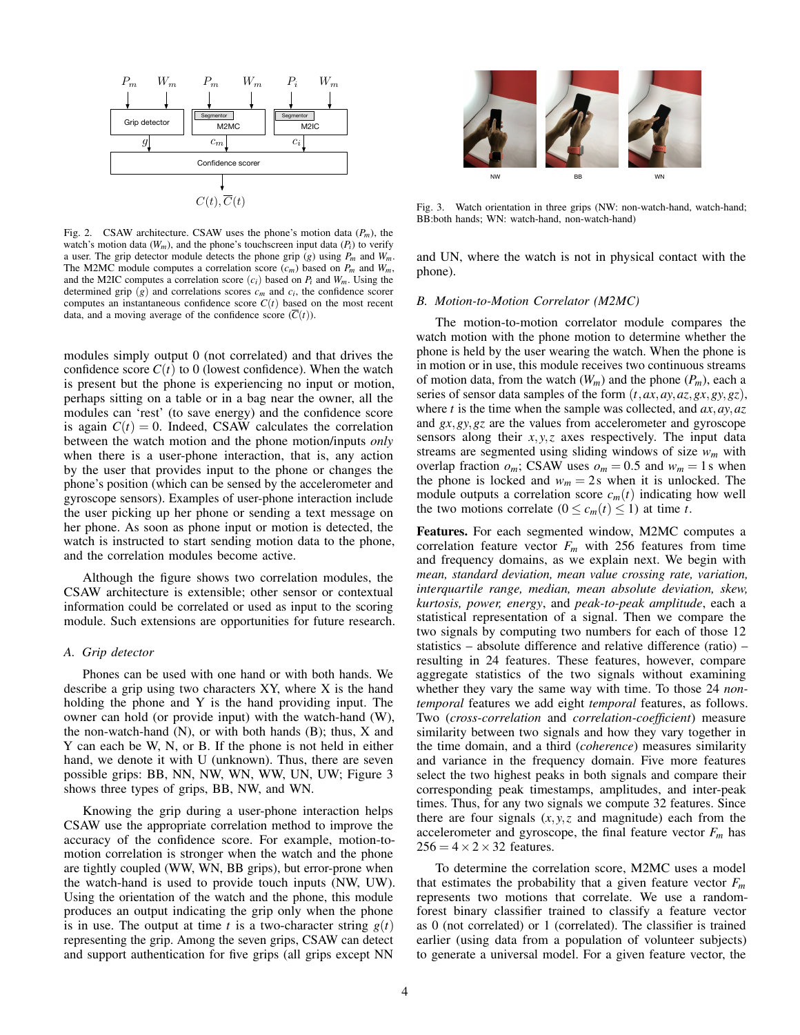

<span id="page-3-0"></span>Fig. 2. CSAW architecture. CSAW uses the phone's motion data (*Pm*), the watch's motion data  $(W_m)$ , and the phone's touchscreen input data  $(P_i)$  to verify a user. The grip detector module detects the phone grip  $(g)$  using  $P_m$  and  $W_m$ . The M2MC module computes a correlation score  $(c_m)$  based on  $P_m$  and  $W_m$ , and the M2IC computes a correlation score  $(c_i)$  based on  $P_i$  and  $W_m$ . Using the determined grip  $(g)$  and correlations scores  $c_m$  and  $c_i$ , the confidence scorer computes an instantaneous confidence score  $C(t)$  based on the most recent data, and a moving average of the confidence score  $(C(t))$ .

modules simply output 0 (not correlated) and that drives the confidence score  $C(t)$  to 0 (lowest confidence). When the watch is present but the phone is experiencing no input or motion, perhaps sitting on a table or in a bag near the owner, all the modules can 'rest' (to save energy) and the confidence score is again  $C(t) = 0$ . Indeed, CSAW calculates the correlation between the watch motion and the phone motion/inputs *only* when there is a user-phone interaction, that is, any action by the user that provides input to the phone or changes the phone's position (which can be sensed by the accelerometer and gyroscope sensors). Examples of user-phone interaction include the user picking up her phone or sending a text message on her phone. As soon as phone input or motion is detected, the watch is instructed to start sending motion data to the phone, and the correlation modules become active.

Although the figure shows two correlation modules, the CSAW architecture is extensible; other sensor or contextual information could be correlated or used as input to the scoring module. Such extensions are opportunities for future research.

## *A. Grip detector*

Phones can be used with one hand or with both hands. We describe a grip using two characters XY, where X is the hand holding the phone and Y is the hand providing input. The owner can hold (or provide input) with the watch-hand (W), the non-watch-hand  $(N)$ , or with both hands  $(B)$ ; thus,  $X$  and Y can each be W, N, or B. If the phone is not held in either hand, we denote it with U (unknown). Thus, there are seven possible grips: BB, NN, NW, WN, WW, UN, UW; Figure [3](#page-3-1) shows three types of grips, BB, NW, and WN.

Knowing the grip during a user-phone interaction helps CSAW use the appropriate correlation method to improve the accuracy of the confidence score. For example, motion-tomotion correlation is stronger when the watch and the phone are tightly coupled (WW, WN, BB grips), but error-prone when the watch-hand is used to provide touch inputs (NW, UW). Using the orientation of the watch and the phone, this module produces an output indicating the grip only when the phone is in use. The output at time  $t$  is a two-character string  $g(t)$ representing the grip. Among the seven grips, CSAW can detect and support authentication for five grips (all grips except NN



<span id="page-3-1"></span>Fig. 3. Watch orientation in three grips (NW: non-watch-hand, watch-hand; BB:both hands; WN: watch-hand, non-watch-hand)

and UN, where the watch is not in physical contact with the phone).

## *B. Motion-to-Motion Correlator (M2MC)*

The motion-to-motion correlator module compares the watch motion with the phone motion to determine whether the phone is held by the user wearing the watch. When the phone is in motion or in use, this module receives two continuous streams of motion data, from the watch  $(W_m)$  and the phone  $(P_m)$ , each a series of sensor data samples of the form (*t*,*ax*,*ay*,*az*,*gx*,*gy*,*gz*), where *t* is the time when the sample was collected, and *ax*,*ay*,*az* and *gx*,*gy*,*gz* are the values from accelerometer and gyroscope sensors along their *x*, *y*,*z* axes respectively. The input data streams are segmented using sliding windows of size *w<sup>m</sup>* with overlap fraction  $o_m$ ; CSAW uses  $o_m = 0.5$  and  $w_m = 1$  s when the phone is locked and  $w_m = 2s$  when it is unlocked. The module outputs a correlation score  $c_m(t)$  indicating how well the two motions correlate  $(0 \leq c_m(t) \leq 1)$  at time *t*.

Features. For each segmented window, M2MC computes a correlation feature vector  $F_m$  with 256 features from time and frequency domains, as we explain next. We begin with *mean, standard deviation, mean value crossing rate, variation, interquartile range, median, mean absolute deviation, skew, kurtosis, power, energy*, and *peak-to-peak amplitude*, each a statistical representation of a signal. Then we compare the two signals by computing two numbers for each of those 12 statistics – absolute difference and relative difference (ratio) – resulting in 24 features. These features, however, compare aggregate statistics of the two signals without examining whether they vary the same way with time. To those 24 *nontemporal* features we add eight *temporal* features, as follows. Two (*cross-correlation* and *correlation-coefficient*) measure similarity between two signals and how they vary together in the time domain, and a third (*coherence*) measures similarity and variance in the frequency domain. Five more features select the two highest peaks in both signals and compare their corresponding peak timestamps, amplitudes, and inter-peak times. Thus, for any two signals we compute 32 features. Since there are four signals  $(x, y, z)$  and magnitude) each from the accelerometer and gyroscope, the final feature vector  $F_m$  has  $256 = 4 \times 2 \times 32$  features.

To determine the correlation score, M2MC uses a model that estimates the probability that a given feature vector  $F_m$ represents two motions that correlate. We use a randomforest binary classifier trained to classify a feature vector as 0 (not correlated) or 1 (correlated). The classifier is trained earlier (using data from a population of volunteer subjects) to generate a universal model. For a given feature vector, the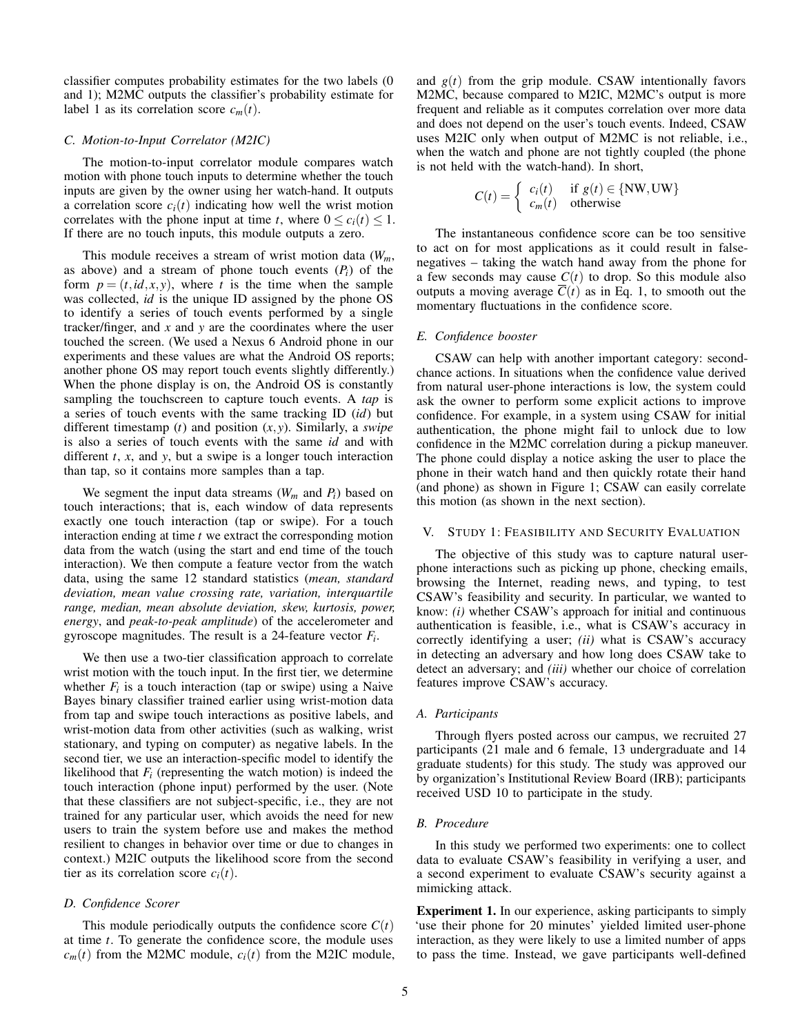classifier computes probability estimates for the two labels (0 and 1); M2MC outputs the classifier's probability estimate for label 1 as its correlation score  $c_m(t)$ .

#### *C. Motion-to-Input Correlator (M2IC)*

The motion-to-input correlator module compares watch motion with phone touch inputs to determine whether the touch inputs are given by the owner using her watch-hand. It outputs a correlation score  $c_i(t)$  indicating how well the wrist motion correlates with the phone input at time *t*, where  $0 \le c_i(t) \le 1$ . If there are no touch inputs, this module outputs a zero.

This module receives a stream of wrist motion data (*Wm*, as above) and a stream of phone touch events  $(P_i)$  of the form  $p = (t, id, x, y)$ , where t is the time when the sample was collected, *id* is the unique ID assigned by the phone OS to identify a series of touch events performed by a single tracker/finger, and *x* and *y* are the coordinates where the user touched the screen. (We used a Nexus 6 Android phone in our experiments and these values are what the Android OS reports; another phone OS may report touch events slightly differently.) When the phone display is on, the Android OS is constantly sampling the touchscreen to capture touch events. A *tap* is a series of touch events with the same tracking ID (*id*) but different timestamp (*t*) and position (*x*, *y*). Similarly, a *swipe* is also a series of touch events with the same *id* and with different *t*, *x*, and *y*, but a swipe is a longer touch interaction than tap, so it contains more samples than a tap.

We segment the input data streams  $(W_m$  and  $P_i)$  based on touch interactions; that is, each window of data represents exactly one touch interaction (tap or swipe). For a touch interaction ending at time *t* we extract the corresponding motion data from the watch (using the start and end time of the touch interaction). We then compute a feature vector from the watch data, using the same 12 standard statistics (*mean, standard deviation, mean value crossing rate, variation, interquartile range, median, mean absolute deviation, skew, kurtosis, power, energy*, and *peak-to-peak amplitude*) of the accelerometer and gyroscope magnitudes. The result is a 24-feature vector *F<sup>i</sup>* .

We then use a two-tier classification approach to correlate wrist motion with the touch input. In the first tier, we determine whether  $F_i$  is a touch interaction (tap or swipe) using a Naive Bayes binary classifier trained earlier using wrist-motion data from tap and swipe touch interactions as positive labels, and wrist-motion data from other activities (such as walking, wrist stationary, and typing on computer) as negative labels. In the second tier, we use an interaction-specific model to identify the likelihood that  $F_i$  (representing the watch motion) is indeed the touch interaction (phone input) performed by the user. (Note that these classifiers are not subject-specific, i.e., they are not trained for any particular user, which avoids the need for new users to train the system before use and makes the method resilient to changes in behavior over time or due to changes in context.) M2IC outputs the likelihood score from the second tier as its correlation score  $c_i(t)$ .

## <span id="page-4-0"></span>*D. Confidence Scorer*

This module periodically outputs the confidence score  $C(t)$ at time *t*. To generate the confidence score, the module uses  $c_m(t)$  from the M2MC module,  $c_i(t)$  from the M2IC module, and  $g(t)$  from the grip module. CSAW intentionally favors M2MC, because compared to M2IC, M2MC's output is more frequent and reliable as it computes correlation over more data and does not depend on the user's touch events. Indeed, CSAW uses M2IC only when output of M2MC is not reliable, i.e., when the watch and phone are not tightly coupled (the phone is not held with the watch-hand). In short,

$$
C(t) = \begin{cases} c_i(t) & \text{if } g(t) \in \{NW, UW\} \\ c_m(t) & \text{otherwise} \end{cases}
$$

The instantaneous confidence score can be too sensitive to act on for most applications as it could result in falsenegatives – taking the watch hand away from the phone for a few seconds may cause  $C(t)$  to drop. So this module also outputs a moving average  $\overline{C}(t)$  as in Eq. [1,](#page-2-1) to smooth out the momentary fluctuations in the confidence score.

#### <span id="page-4-1"></span>*E. Confidence booster*

CSAW can help with another important category: secondchance actions. In situations when the confidence value derived from natural user-phone interactions is low, the system could ask the owner to perform some explicit actions to improve confidence. For example, in a system using CSAW for initial authentication, the phone might fail to unlock due to low confidence in the M2MC correlation during a pickup maneuver. The phone could display a notice asking the user to place the phone in their watch hand and then quickly rotate their hand (and phone) as shown in Figure [1;](#page-0-0) CSAW can easily correlate this motion (as shown in the next section).

## V. STUDY 1: FEASIBILITY AND SECURITY EVALUATION

The objective of this study was to capture natural userphone interactions such as picking up phone, checking emails, browsing the Internet, reading news, and typing, to test CSAW's feasibility and security. In particular, we wanted to know: *(i)* whether CSAW's approach for initial and continuous authentication is feasible, i.e., what is CSAW's accuracy in correctly identifying a user; *(ii)* what is CSAW's accuracy in detecting an adversary and how long does CSAW take to detect an adversary; and *(iii)* whether our choice of correlation features improve CSAW's accuracy.

#### *A. Participants*

Through flyers posted across our campus, we recruited 27 participants (21 male and 6 female, 13 undergraduate and 14 graduate students) for this study. The study was approved our by organization's Institutional Review Board (IRB); participants received USD 10 to participate in the study.

#### *B. Procedure*

In this study we performed two experiments: one to collect data to evaluate CSAW's feasibility in verifying a user, and a second experiment to evaluate CSAW's security against a mimicking attack.

Experiment 1. In our experience, asking participants to simply 'use their phone for 20 minutes' yielded limited user-phone interaction, as they were likely to use a limited number of apps to pass the time. Instead, we gave participants well-defined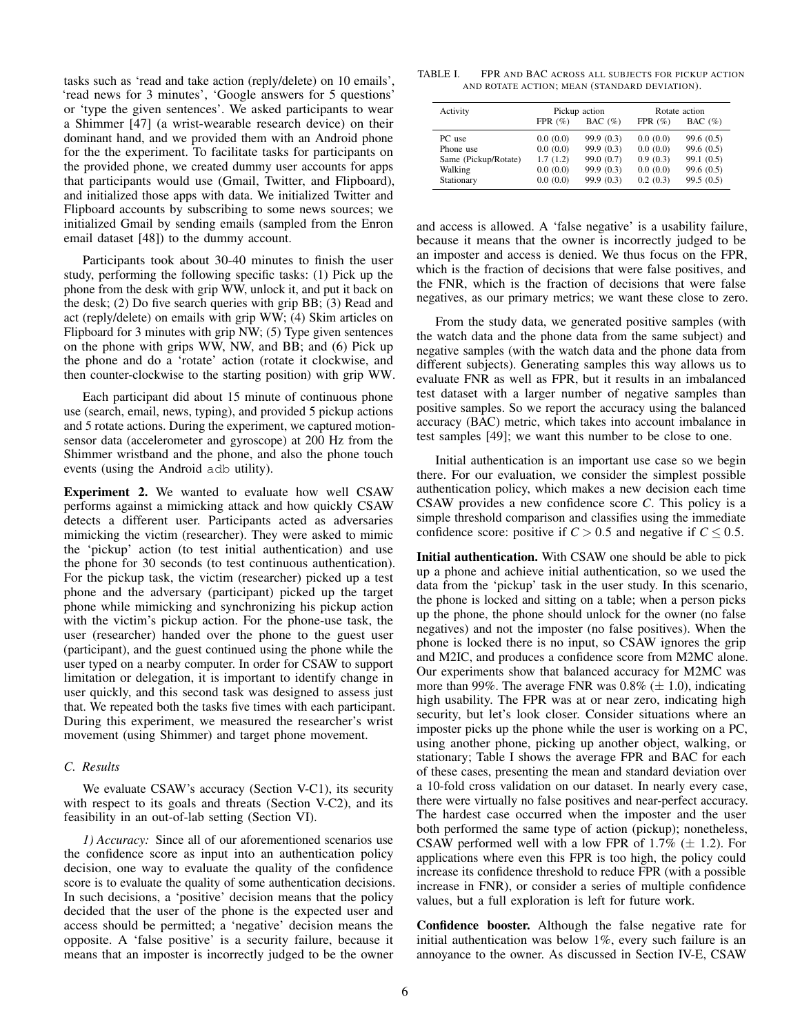tasks such as 'read and take action (reply/delete) on 10 emails', 'read news for 3 minutes', 'Google answers for 5 questions' or 'type the given sentences'. We asked participants to wear a Shimmer [\[47\]](#page-11-12) (a wrist-wearable research device) on their dominant hand, and we provided them with an Android phone for the the experiment. To facilitate tasks for participants on the provided phone, we created dummy user accounts for apps that participants would use (Gmail, Twitter, and Flipboard), and initialized those apps with data. We initialized Twitter and Flipboard accounts by subscribing to some news sources; we initialized Gmail by sending emails (sampled from the Enron email dataset [\[48\]](#page-11-13)) to the dummy account.

Participants took about 30-40 minutes to finish the user study, performing the following specific tasks: (1) Pick up the phone from the desk with grip WW, unlock it, and put it back on the desk; (2) Do five search queries with grip BB; (3) Read and act (reply/delete) on emails with grip WW; (4) Skim articles on Flipboard for 3 minutes with grip NW; (5) Type given sentences on the phone with grips WW, NW, and BB; and (6) Pick up the phone and do a 'rotate' action (rotate it clockwise, and then counter-clockwise to the starting position) with grip WW.

Each participant did about 15 minute of continuous phone use (search, email, news, typing), and provided 5 pickup actions and 5 rotate actions. During the experiment, we captured motionsensor data (accelerometer and gyroscope) at 200 Hz from the Shimmer wristband and the phone, and also the phone touch events (using the Android adb utility).

Experiment 2. We wanted to evaluate how well CSAW performs against a mimicking attack and how quickly CSAW detects a different user. Participants acted as adversaries mimicking the victim (researcher). They were asked to mimic the 'pickup' action (to test initial authentication) and use the phone for 30 seconds (to test continuous authentication). For the pickup task, the victim (researcher) picked up a test phone and the adversary (participant) picked up the target phone while mimicking and synchronizing his pickup action with the victim's pickup action. For the phone-use task, the user (researcher) handed over the phone to the guest user (participant), and the guest continued using the phone while the user typed on a nearby computer. In order for CSAW to support limitation or delegation, it is important to identify change in user quickly, and this second task was designed to assess just that. We repeated both the tasks five times with each participant. During this experiment, we measured the researcher's wrist movement (using Shimmer) and target phone movement.

## *C. Results*

We evaluate CSAW's accuracy (Section [V-C1\)](#page-5-0), its security with respect to its goals and threats (Section [V-C2\)](#page-6-0), and its feasibility in an out-of-lab setting (Section [VI\)](#page-7-0).

<span id="page-5-0"></span>*1) Accuracy:* Since all of our aforementioned scenarios use the confidence score as input into an authentication policy decision, one way to evaluate the quality of the confidence score is to evaluate the quality of some authentication decisions. In such decisions, a 'positive' decision means that the policy decided that the user of the phone is the expected user and access should be permitted; a 'negative' decision means the opposite. A 'false positive' is a security failure, because it means that an imposter is incorrectly judged to be the owner

TABLE I. FPR AND BAC ACROSS ALL SUBJECTS FOR PICKUP ACTION AND ROTATE ACTION; MEAN (STANDARD DEVIATION).

<span id="page-5-1"></span>

| Activity             | Pickup action |            | Rotate action |            |
|----------------------|---------------|------------|---------------|------------|
|                      | FPR $(\%)$    | BAC $(\%)$ | FPR $(\%)$    | BAC $(\%)$ |
| PC use               | 0.0(0.0)      | 99.9(0.3)  | 0.0(0.0)      | 99.6(0.5)  |
| Phone use            | 0.0(0.0)      | 99.9 (0.3) | 0.0(0.0)      | 99.6(0.5)  |
| Same (Pickup/Rotate) | 1.7(1.2)      | 99.0 (0.7) | 0.9(0.3)      | 99.1 (0.5) |
| Walking              | 0.0(0.0)      | 99.9 (0.3) | 0.0(0.0)      | 99.6(0.5)  |
| Stationary           | 0.0(0.0)      | 99.9 (0.3) | 0.2(0.3)      | 99.5(0.5)  |

and access is allowed. A 'false negative' is a usability failure, because it means that the owner is incorrectly judged to be an imposter and access is denied. We thus focus on the FPR, which is the fraction of decisions that were false positives, and the FNR, which is the fraction of decisions that were false negatives, as our primary metrics; we want these close to zero.

From the study data, we generated positive samples (with the watch data and the phone data from the same subject) and negative samples (with the watch data and the phone data from different subjects). Generating samples this way allows us to evaluate FNR as well as FPR, but it results in an imbalanced test dataset with a larger number of negative samples than positive samples. So we report the accuracy using the balanced accuracy (BAC) metric, which takes into account imbalance in test samples [\[49\]](#page-11-14); we want this number to be close to one.

Initial authentication is an important use case so we begin there. For our evaluation, we consider the simplest possible authentication policy, which makes a new decision each time CSAW provides a new confidence score *C*. This policy is a simple threshold comparison and classifies using the immediate confidence score: positive if  $C > 0.5$  and negative if  $C \le 0.5$ .

Initial authentication. With CSAW one should be able to pick up a phone and achieve initial authentication, so we used the data from the 'pickup' task in the user study. In this scenario, the phone is locked and sitting on a table; when a person picks up the phone, the phone should unlock for the owner (no false negatives) and not the imposter (no false positives). When the phone is locked there is no input, so CSAW ignores the grip and M2IC, and produces a confidence score from M2MC alone. Our experiments show that balanced accuracy for M2MC was more than 99%. The average FNR was  $0.8\%$  ( $\pm$  1.0), indicating high usability. The FPR was at or near zero, indicating high security, but let's look closer. Consider situations where an imposter picks up the phone while the user is working on a PC, using another phone, picking up another object, walking, or stationary; Table [I](#page-5-1) shows the average FPR and BAC for each of these cases, presenting the mean and standard deviation over a 10-fold cross validation on our dataset. In nearly every case, there were virtually no false positives and near-perfect accuracy. The hardest case occurred when the imposter and the user both performed the same type of action (pickup); nonetheless, CSAW performed well with a low FPR of 1.7% ( $\pm$  1.2). For applications where even this FPR is too high, the policy could increase its confidence threshold to reduce FPR (with a possible increase in FNR), or consider a series of multiple confidence values, but a full exploration is left for future work.

Confidence booster. Although the false negative rate for initial authentication was below 1%, every such failure is an annoyance to the owner. As discussed in Section [IV-E,](#page-4-1) CSAW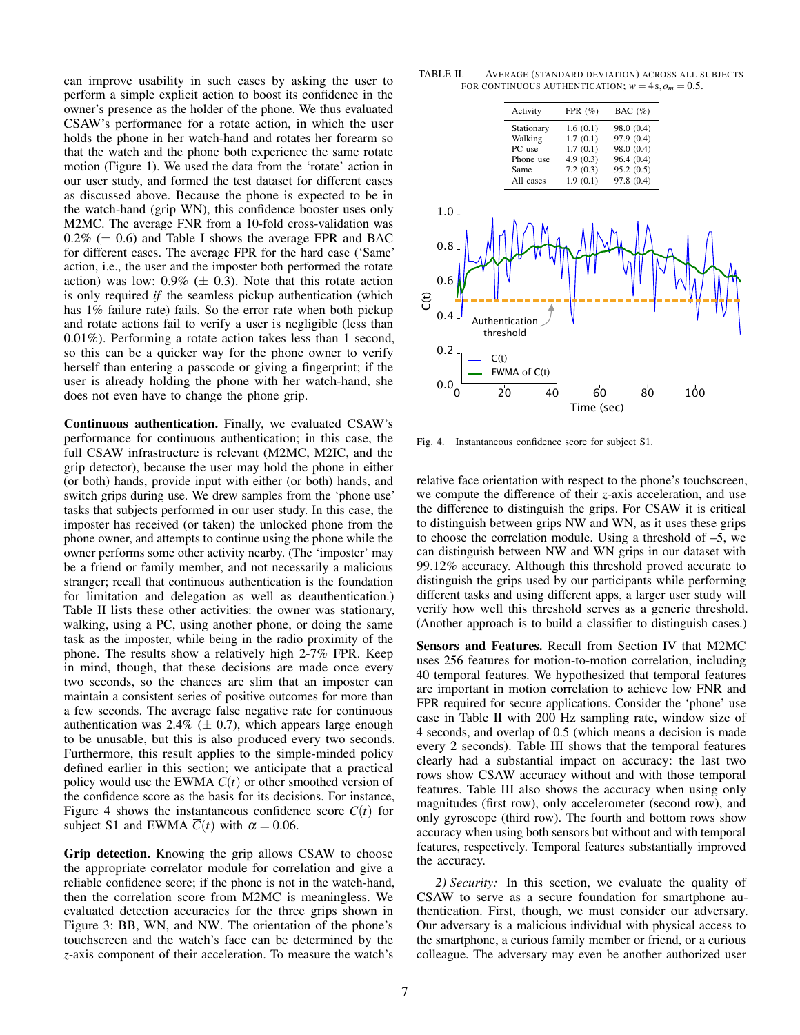can improve usability in such cases by asking the user to perform a simple explicit action to boost its confidence in the owner's presence as the holder of the phone. We thus evaluated CSAW's performance for a rotate action, in which the user holds the phone in her watch-hand and rotates her forearm so that the watch and the phone both experience the same rotate motion (Figure [1\)](#page-0-0). We used the data from the 'rotate' action in our user study, and formed the test dataset for different cases as discussed above. Because the phone is expected to be in the watch-hand (grip WN), this confidence booster uses only M2MC. The average FNR from a 10-fold cross-validation was  $0.2\%$  ( $\pm$  0.6) and Table [I](#page-5-1) shows the average FPR and BAC for different cases. The average FPR for the hard case ('Same' action, i.e., the user and the imposter both performed the rotate action) was low:  $0.9\%$  ( $\pm$  0.3). Note that this rotate action is only required *if* the seamless pickup authentication (which has 1% failure rate) fails. So the error rate when both pickup and rotate actions fail to verify a user is negligible (less than 0.01%). Performing a rotate action takes less than 1 second, so this can be a quicker way for the phone owner to verify herself than entering a passcode or giving a fingerprint; if the user is already holding the phone with her watch-hand, she does not even have to change the phone grip.

Continuous authentication. Finally, we evaluated CSAW's performance for continuous authentication; in this case, the full CSAW infrastructure is relevant (M2MC, M2IC, and the grip detector), because the user may hold the phone in either (or both) hands, provide input with either (or both) hands, and switch grips during use. We drew samples from the 'phone use' tasks that subjects performed in our user study. In this case, the imposter has received (or taken) the unlocked phone from the phone owner, and attempts to continue using the phone while the owner performs some other activity nearby. (The 'imposter' may be a friend or family member, and not necessarily a malicious stranger; recall that continuous authentication is the foundation for limitation and delegation as well as deauthentication.) Table [II](#page-6-1) lists these other activities: the owner was stationary, walking, using a PC, using another phone, or doing the same task as the imposter, while being in the radio proximity of the phone. The results show a relatively high 2-7% FPR. Keep in mind, though, that these decisions are made once every two seconds, so the chances are slim that an imposter can maintain a consistent series of positive outcomes for more than a few seconds. The average false negative rate for continuous authentication was 2.4% ( $\pm$  0.7), which appears large enough to be unusable, but this is also produced every two seconds. Furthermore, this result applies to the simple-minded policy defined earlier in this section; we anticipate that a practical policy would use the EWMA *C*(*t*) or other smoothed version of the confidence score as the basis for its decisions. For instance, Figure [4](#page-6-2) shows the instantaneous confidence score  $C(t)$  for subject S1 and EWMA  $\overline{C}(t)$  with  $\alpha = 0.06$ .

Grip detection. Knowing the grip allows CSAW to choose the appropriate correlator module for correlation and give a reliable confidence score; if the phone is not in the watch-hand, then the correlation score from M2MC is meaningless. We evaluated detection accuracies for the three grips shown in Figure [3:](#page-3-1) BB, WN, and NW. The orientation of the phone's touchscreen and the watch's face can be determined by the *z*-axis component of their acceleration. To measure the watch's

<span id="page-6-1"></span>TABLE II. AVERAGE (STANDARD DEVIATION) ACROSS ALL SUBJECTS FOR CONTINUOUS AUTHENTICATION;  $w = 4s$ ,  $o_m = 0.5$ .



<span id="page-6-2"></span>Fig. 4. Instantaneous confidence score for subject S1.

relative face orientation with respect to the phone's touchscreen, we compute the difference of their *z*-axis acceleration, and use the difference to distinguish the grips. For CSAW it is critical to distinguish between grips NW and WN, as it uses these grips to choose the correlation module. Using a threshold of  $-5$ , we can distinguish between NW and WN grips in our dataset with 99.12% accuracy. Although this threshold proved accurate to distinguish the grips used by our participants while performing different tasks and using different apps, a larger user study will verify how well this threshold serves as a generic threshold. (Another approach is to build a classifier to distinguish cases.)

Sensors and Features. Recall from Section [IV](#page-2-0) that M2MC uses 256 features for motion-to-motion correlation, including 40 temporal features. We hypothesized that temporal features are important in motion correlation to achieve low FNR and FPR required for secure applications. Consider the 'phone' use case in Table [II](#page-6-1) with 200 Hz sampling rate, window size of 4 seconds, and overlap of 0.5 (which means a decision is made every 2 seconds). Table [III](#page-7-1) shows that the temporal features clearly had a substantial impact on accuracy: the last two rows show CSAW accuracy without and with those temporal features. Table [III](#page-7-1) also shows the accuracy when using only magnitudes (first row), only accelerometer (second row), and only gyroscope (third row). The fourth and bottom rows show accuracy when using both sensors but without and with temporal features, respectively. Temporal features substantially improved the accuracy.

<span id="page-6-0"></span>*2) Security:* In this section, we evaluate the quality of CSAW to serve as a secure foundation for smartphone authentication. First, though, we must consider our adversary. Our adversary is a malicious individual with physical access to the smartphone, a curious family member or friend, or a curious colleague. The adversary may even be another authorized user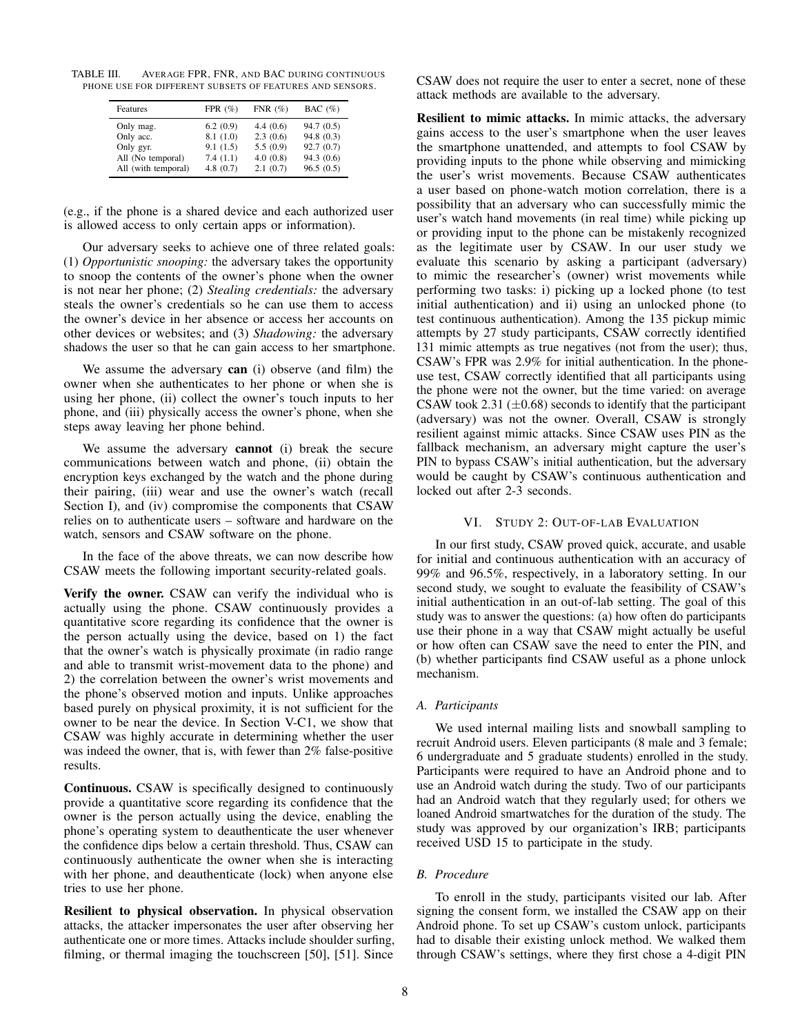TABLE III. AVERAGE FPR, FNR, AND BAC DURING CONTINUOUS PHONE USE FOR DIFFERENT SUBSETS OF FEATURES AND SENSORS.

<span id="page-7-1"></span>

| Features            | FPR $(\%)$ | FNR $(\%)$ | BAC $(\%)$ |
|---------------------|------------|------------|------------|
| Only mag.           | 6.2(0.9)   | 4.4(0.6)   | 94.7(0.5)  |
| Only acc.           | 8.1(1.0)   | 2.3(0.6)   | 94.8(0.3)  |
| Only gyr.           | 9.1(1.5)   | 5.5(0.9)   | 92.7(0.7)  |
| All (No temporal)   | 7.4(1.1)   | 4.0(0.8)   | 94.3(0.6)  |
| All (with temporal) | 4.8(0.7)   | 2.1(0.7)   | 96.5(0.5)  |

(e.g., if the phone is a shared device and each authorized user is allowed access to only certain apps or information).

Our adversary seeks to achieve one of three related goals: (1) *Opportunistic snooping:* the adversary takes the opportunity to snoop the contents of the owner's phone when the owner is not near her phone; (2) *Stealing credentials:* the adversary steals the owner's credentials so he can use them to access the owner's device in her absence or access her accounts on other devices or websites; and (3) *Shadowing:* the adversary shadows the user so that he can gain access to her smartphone.

We assume the adversary **can** (i) observe (and film) the owner when she authenticates to her phone or when she is using her phone, (ii) collect the owner's touch inputs to her phone, and (iii) physically access the owner's phone, when she steps away leaving her phone behind.

We assume the adversary cannot (i) break the secure communications between watch and phone, (ii) obtain the encryption keys exchanged by the watch and the phone during their pairing, (iii) wear and use the owner's watch (recall Section [I\)](#page-0-1), and (iv) compromise the components that CSAW relies on to authenticate users – software and hardware on the watch, sensors and CSAW software on the phone.

In the face of the above threats, we can now describe how CSAW meets the following important security-related goals.

Verify the owner. CSAW can verify the individual who is actually using the phone. CSAW continuously provides a quantitative score regarding its confidence that the owner is the person actually using the device, based on 1) the fact that the owner's watch is physically proximate (in radio range and able to transmit wrist-movement data to the phone) and 2) the correlation between the owner's wrist movements and the phone's observed motion and inputs. Unlike approaches based purely on physical proximity, it is not sufficient for the owner to be near the device. In Section [V-C1,](#page-5-0) we show that CSAW was highly accurate in determining whether the user was indeed the owner, that is, with fewer than 2% false-positive results.

Continuous. CSAW is specifically designed to continuously provide a quantitative score regarding its confidence that the owner is the person actually using the device, enabling the phone's operating system to deauthenticate the user whenever the confidence dips below a certain threshold. Thus, CSAW can continuously authenticate the owner when she is interacting with her phone, and deauthenticate (lock) when anyone else tries to use her phone.

Resilient to physical observation. In physical observation attacks, the attacker impersonates the user after observing her authenticate one or more times. Attacks include shoulder surfing, filming, or thermal imaging the touchscreen [\[50\]](#page-11-15), [\[51\]](#page-11-16). Since

CSAW does not require the user to enter a secret, none of these attack methods are available to the adversary.

Resilient to mimic attacks. In mimic attacks, the adversary gains access to the user's smartphone when the user leaves the smartphone unattended, and attempts to fool CSAW by providing inputs to the phone while observing and mimicking the user's wrist movements. Because CSAW authenticates a user based on phone-watch motion correlation, there is a possibility that an adversary who can successfully mimic the user's watch hand movements (in real time) while picking up or providing input to the phone can be mistakenly recognized as the legitimate user by CSAW. In our user study we evaluate this scenario by asking a participant (adversary) to mimic the researcher's (owner) wrist movements while performing two tasks: i) picking up a locked phone (to test initial authentication) and ii) using an unlocked phone (to test continuous authentication). Among the 135 pickup mimic attempts by 27 study participants, CSAW correctly identified 131 mimic attempts as true negatives (not from the user); thus, CSAW's FPR was 2.9% for initial authentication. In the phoneuse test, CSAW correctly identified that all participants using the phone were not the owner, but the time varied: on average CSAW took 2.31  $(\pm 0.68)$  seconds to identify that the participant (adversary) was not the owner. Overall, CSAW is strongly resilient against mimic attacks. Since CSAW uses PIN as the fallback mechanism, an adversary might capture the user's PIN to bypass CSAW's initial authentication, but the adversary would be caught by CSAW's continuous authentication and locked out after 2-3 seconds.

#### VI. STUDY 2: OUT-OF-LAB EVALUATION

<span id="page-7-0"></span>In our first study, CSAW proved quick, accurate, and usable for initial and continuous authentication with an accuracy of 99% and 96.5%, respectively, in a laboratory setting. In our second study, we sought to evaluate the feasibility of CSAW's initial authentication in an out-of-lab setting. The goal of this study was to answer the questions: (a) how often do participants use their phone in a way that CSAW might actually be useful or how often can CSAW save the need to enter the PIN, and (b) whether participants find CSAW useful as a phone unlock mechanism.

#### *A. Participants*

We used internal mailing lists and snowball sampling to recruit Android users. Eleven participants (8 male and 3 female; 6 undergraduate and 5 graduate students) enrolled in the study. Participants were required to have an Android phone and to use an Android watch during the study. Two of our participants had an Android watch that they regularly used; for others we loaned Android smartwatches for the duration of the study. The study was approved by our organization's IRB; participants received USD 15 to participate in the study.

## *B. Procedure*

To enroll in the study, participants visited our lab. After signing the consent form, we installed the CSAW app on their Android phone. To set up CSAW's custom unlock, participants had to disable their existing unlock method. We walked them through CSAW's settings, where they first chose a 4-digit PIN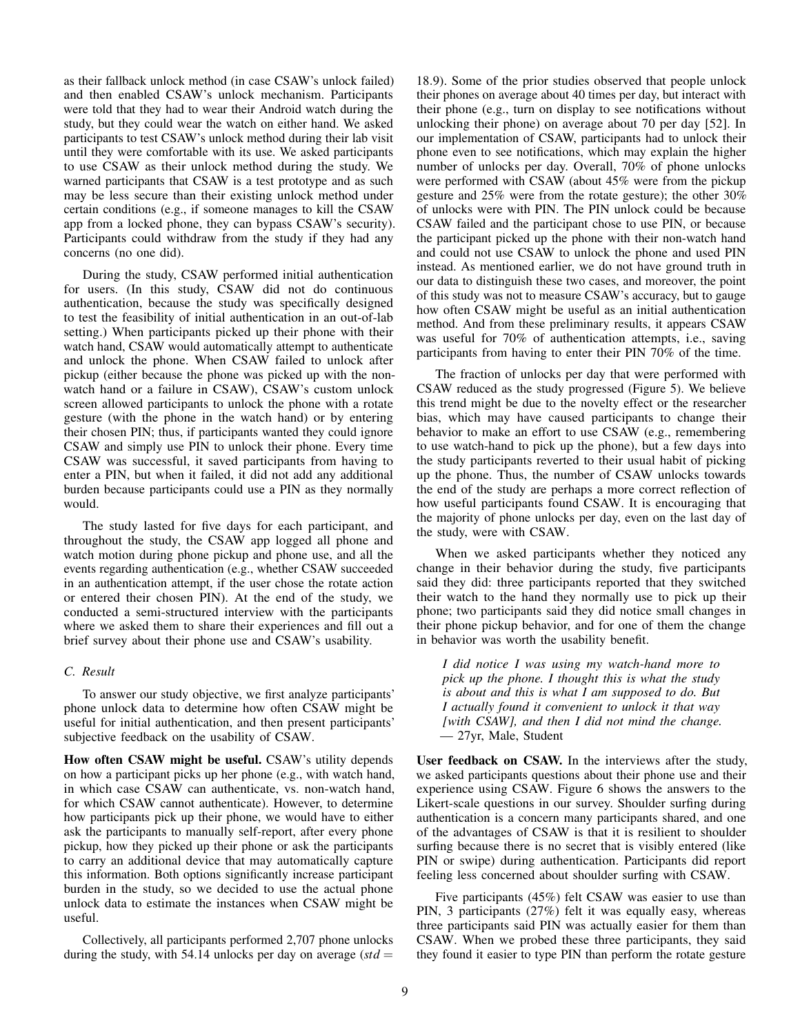as their fallback unlock method (in case CSAW's unlock failed) and then enabled CSAW's unlock mechanism. Participants were told that they had to wear their Android watch during the study, but they could wear the watch on either hand. We asked participants to test CSAW's unlock method during their lab visit until they were comfortable with its use. We asked participants to use CSAW as their unlock method during the study. We warned participants that CSAW is a test prototype and as such may be less secure than their existing unlock method under certain conditions (e.g., if someone manages to kill the CSAW app from a locked phone, they can bypass CSAW's security). Participants could withdraw from the study if they had any concerns (no one did).

During the study, CSAW performed initial authentication for users. (In this study, CSAW did not do continuous authentication, because the study was specifically designed to test the feasibility of initial authentication in an out-of-lab setting.) When participants picked up their phone with their watch hand, CSAW would automatically attempt to authenticate and unlock the phone. When CSAW failed to unlock after pickup (either because the phone was picked up with the nonwatch hand or a failure in CSAW), CSAW's custom unlock screen allowed participants to unlock the phone with a rotate gesture (with the phone in the watch hand) or by entering their chosen PIN; thus, if participants wanted they could ignore CSAW and simply use PIN to unlock their phone. Every time CSAW was successful, it saved participants from having to enter a PIN, but when it failed, it did not add any additional burden because participants could use a PIN as they normally would.

The study lasted for five days for each participant, and throughout the study, the CSAW app logged all phone and watch motion during phone pickup and phone use, and all the events regarding authentication (e.g., whether CSAW succeeded in an authentication attempt, if the user chose the rotate action or entered their chosen PIN). At the end of the study, we conducted a semi-structured interview with the participants where we asked them to share their experiences and fill out a brief survey about their phone use and CSAW's usability.

## *C. Result*

To answer our study objective, we first analyze participants' phone unlock data to determine how often CSAW might be useful for initial authentication, and then present participants' subjective feedback on the usability of CSAW.

How often CSAW might be useful. CSAW's utility depends on how a participant picks up her phone (e.g., with watch hand, in which case CSAW can authenticate, vs. non-watch hand, for which CSAW cannot authenticate). However, to determine how participants pick up their phone, we would have to either ask the participants to manually self-report, after every phone pickup, how they picked up their phone or ask the participants to carry an additional device that may automatically capture this information. Both options significantly increase participant burden in the study, so we decided to use the actual phone unlock data to estimate the instances when CSAW might be useful.

Collectively, all participants performed 2,707 phone unlocks during the study, with 54.14 unlocks per day on average  $(std =$ 

18.9). Some of the prior studies observed that people unlock their phones on average about 40 times per day, but interact with their phone (e.g., turn on display to see notifications without unlocking their phone) on average about 70 per day [\[52\]](#page-11-17). In our implementation of CSAW, participants had to unlock their phone even to see notifications, which may explain the higher number of unlocks per day. Overall, 70% of phone unlocks were performed with CSAW (about 45% were from the pickup gesture and 25% were from the rotate gesture); the other 30% of unlocks were with PIN. The PIN unlock could be because CSAW failed and the participant chose to use PIN, or because the participant picked up the phone with their non-watch hand and could not use CSAW to unlock the phone and used PIN instead. As mentioned earlier, we do not have ground truth in our data to distinguish these two cases, and moreover, the point of this study was not to measure CSAW's accuracy, but to gauge how often CSAW might be useful as an initial authentication method. And from these preliminary results, it appears CSAW was useful for 70% of authentication attempts, i.e., saving participants from having to enter their PIN 70% of the time.

The fraction of unlocks per day that were performed with CSAW reduced as the study progressed (Figure [5\)](#page-9-0). We believe this trend might be due to the novelty effect or the researcher bias, which may have caused participants to change their behavior to make an effort to use CSAW (e.g., remembering to use watch-hand to pick up the phone), but a few days into the study participants reverted to their usual habit of picking up the phone. Thus, the number of CSAW unlocks towards the end of the study are perhaps a more correct reflection of how useful participants found CSAW. It is encouraging that the majority of phone unlocks per day, even on the last day of the study, were with CSAW.

When we asked participants whether they noticed any change in their behavior during the study, five participants said they did: three participants reported that they switched their watch to the hand they normally use to pick up their phone; two participants said they did notice small changes in their phone pickup behavior, and for one of them the change in behavior was worth the usability benefit.

*I did notice I was using my watch-hand more to pick up the phone. I thought this is what the study is about and this is what I am supposed to do. But I actually found it convenient to unlock it that way [with CSAW], and then I did not mind the change.* — 27yr, Male, Student

User feedback on CSAW. In the interviews after the study, we asked participants questions about their phone use and their experience using CSAW. Figure [6](#page-9-1) shows the answers to the Likert-scale questions in our survey. Shoulder surfing during authentication is a concern many participants shared, and one of the advantages of CSAW is that it is resilient to shoulder surfing because there is no secret that is visibly entered (like PIN or swipe) during authentication. Participants did report feeling less concerned about shoulder surfing with CSAW.

Five participants (45%) felt CSAW was easier to use than PIN, 3 participants (27%) felt it was equally easy, whereas three participants said PIN was actually easier for them than CSAW. When we probed these three participants, they said they found it easier to type PIN than perform the rotate gesture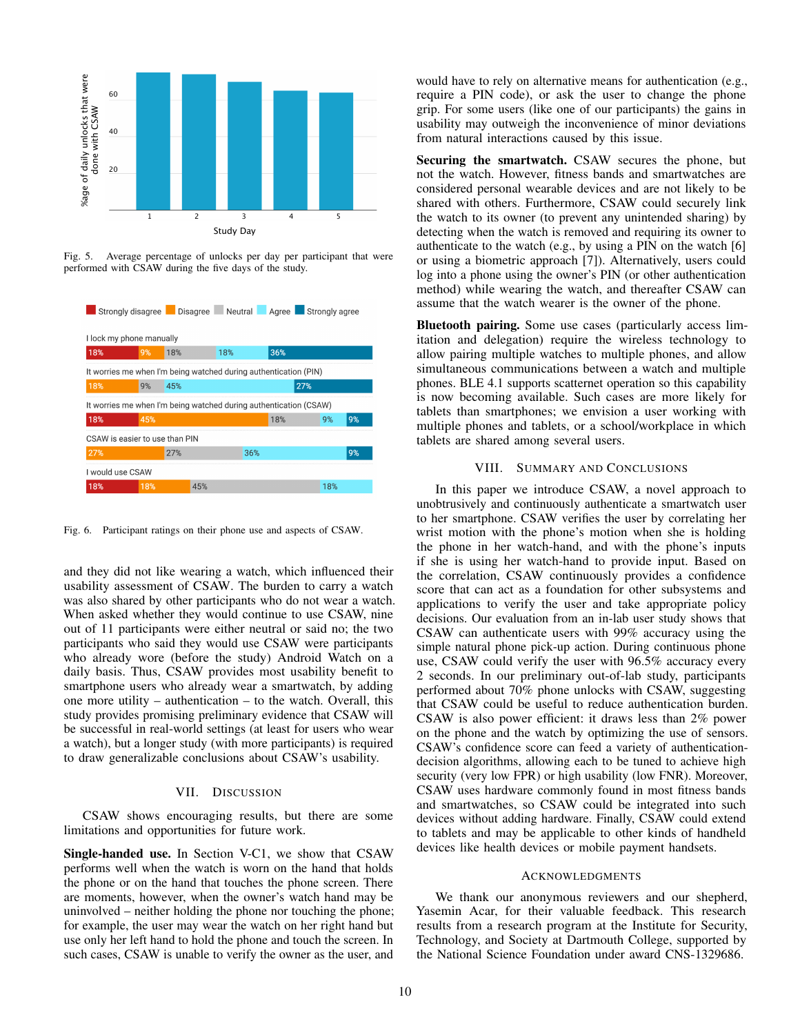

<span id="page-9-0"></span>Fig. 5. Average percentage of unlocks per day per participant that were performed with CSAW during the five days of the study.



<span id="page-9-1"></span>Fig. 6. Participant ratings on their phone use and aspects of CSAW.

and they did not like wearing a watch, which influenced their usability assessment of CSAW. The burden to carry a watch was also shared by other participants who do not wear a watch. When asked whether they would continue to use CSAW, nine out of 11 participants were either neutral or said no; the two participants who said they would use CSAW were participants who already wore (before the study) Android Watch on a daily basis. Thus, CSAW provides most usability benefit to smartphone users who already wear a smartwatch, by adding one more utility – authentication – to the watch. Overall, this study provides promising preliminary evidence that CSAW will be successful in real-world settings (at least for users who wear a watch), but a longer study (with more participants) is required to draw generalizable conclusions about CSAW's usability.

#### VII. DISCUSSION

CSAW shows encouraging results, but there are some limitations and opportunities for future work.

Single-handed use. In Section [V-C1,](#page-5-0) we show that CSAW performs well when the watch is worn on the hand that holds the phone or on the hand that touches the phone screen. There are moments, however, when the owner's watch hand may be uninvolved – neither holding the phone nor touching the phone; for example, the user may wear the watch on her right hand but use only her left hand to hold the phone and touch the screen. In such cases, CSAW is unable to verify the owner as the user, and would have to rely on alternative means for authentication (e.g., require a PIN code), or ask the user to change the phone grip. For some users (like one of our participants) the gains in usability may outweigh the inconvenience of minor deviations from natural interactions caused by this issue.

Securing the smartwatch. CSAW secures the phone, but not the watch. However, fitness bands and smartwatches are considered personal wearable devices and are not likely to be shared with others. Furthermore, CSAW could securely link the watch to its owner (to prevent any unintended sharing) by detecting when the watch is removed and requiring its owner to authenticate to the watch (e.g., by using a PIN on the watch [\[6\]](#page-10-5) or using a biometric approach [\[7\]](#page-10-6)). Alternatively, users could log into a phone using the owner's PIN (or other authentication method) while wearing the watch, and thereafter CSAW can assume that the watch wearer is the owner of the phone.

Bluetooth pairing. Some use cases (particularly access limitation and delegation) require the wireless technology to allow pairing multiple watches to multiple phones, and allow simultaneous communications between a watch and multiple phones. BLE 4.1 supports scatternet operation so this capability is now becoming available. Such cases are more likely for tablets than smartphones; we envision a user working with multiple phones and tablets, or a school/workplace in which tablets are shared among several users.

#### VIII. SUMMARY AND CONCLUSIONS

In this paper we introduce CSAW, a novel approach to unobtrusively and continuously authenticate a smartwatch user to her smartphone. CSAW verifies the user by correlating her wrist motion with the phone's motion when she is holding the phone in her watch-hand, and with the phone's inputs if she is using her watch-hand to provide input. Based on the correlation, CSAW continuously provides a confidence score that can act as a foundation for other subsystems and applications to verify the user and take appropriate policy decisions. Our evaluation from an in-lab user study shows that CSAW can authenticate users with 99% accuracy using the simple natural phone pick-up action. During continuous phone use, CSAW could verify the user with 96.5% accuracy every 2 seconds. In our preliminary out-of-lab study, participants performed about 70% phone unlocks with CSAW, suggesting that CSAW could be useful to reduce authentication burden. CSAW is also power efficient: it draws less than 2% power on the phone and the watch by optimizing the use of sensors. CSAW's confidence score can feed a variety of authenticationdecision algorithms, allowing each to be tuned to achieve high security (very low FPR) or high usability (low FNR). Moreover, CSAW uses hardware commonly found in most fitness bands and smartwatches, so CSAW could be integrated into such devices without adding hardware. Finally, CSAW could extend to tablets and may be applicable to other kinds of handheld devices like health devices or mobile payment handsets.

#### ACKNOWLEDGMENTS

We thank our anonymous reviewers and our shepherd, Yasemin Acar, for their valuable feedback. This research results from a research program at the Institute for Security, Technology, and Society at Dartmouth College, supported by the National Science Foundation under award CNS-1329686.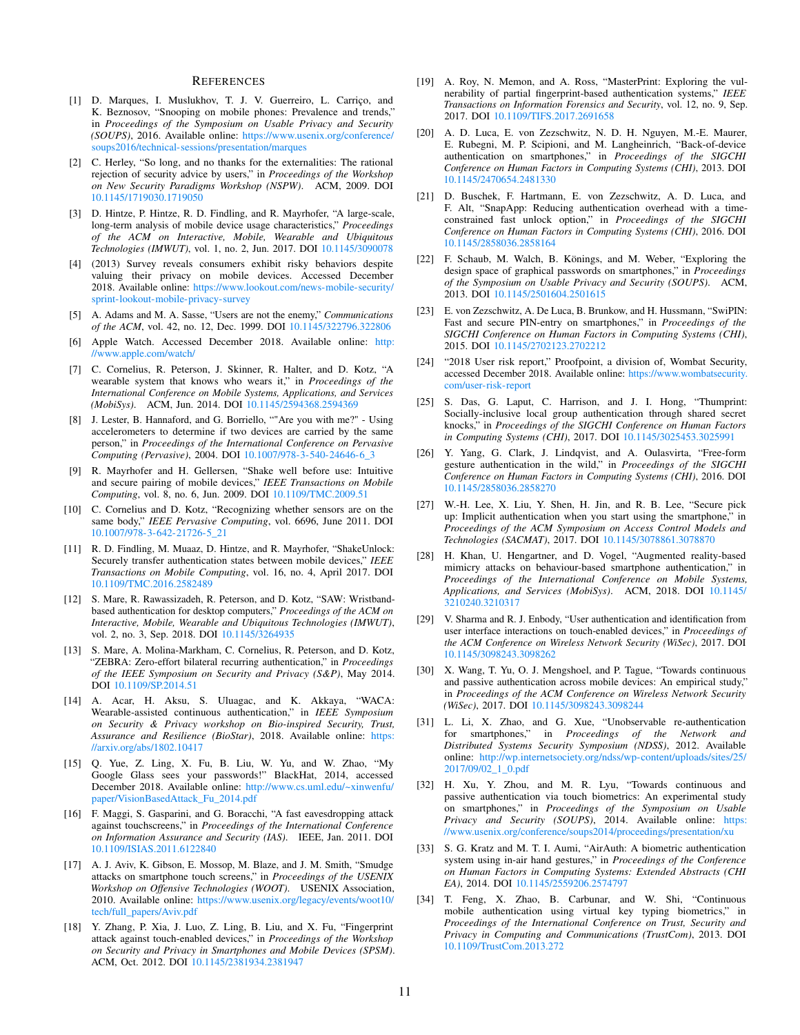#### **REFERENCES**

- <span id="page-10-0"></span>[1] D. Marques, I. Muslukhov, T. J. V. Guerreiro, L. Carriço, and K. Beznosov, "Snooping on mobile phones: Prevalence and trends," in *Proceedings of the Symposium on Usable Privacy and Security (SOUPS)*, 2016. Available online: [https://www.usenix.org/conference/](https://www.usenix.org/conference/soups2016/technical-sessions/presentation/marques) [soups2016/technical-sessions/presentation/marques](https://www.usenix.org/conference/soups2016/technical-sessions/presentation/marques)
- <span id="page-10-1"></span>[2] C. Herley, "So long, and no thanks for the externalities: The rational rejection of security advice by users," in *Proceedings of the Workshop on New Security Paradigms Workshop (NSPW)*. ACM, 2009. DOI [10.1145/1719030.1719050](http://dx.doi.org/10.1145/1719030.1719050)
- <span id="page-10-2"></span>[3] D. Hintze, P. Hintze, R. D. Findling, and R. Mayrhofer, "A large-scale, long-term analysis of mobile device usage characteristics," *Proceedings of the ACM on Interactive, Mobile, Wearable and Ubiquitous Technologies (IMWUT)*, vol. 1, no. 2, Jun. 2017. DOI [10.1145/3090078](http://dx.doi.org/10.1145/3090078)
- <span id="page-10-3"></span>[4] (2013) Survey reveals consumers exhibit risky behaviors despite valuing their privacy on mobile devices. Accessed December 2018. Available online: [https://www.lookout.com/news-mobile-security/](https://www.lookout.com/news-mobile-security/sprint-lookout-mobile-privacy-survey) [sprint-lookout-mobile-privacy-survey](https://www.lookout.com/news-mobile-security/sprint-lookout-mobile-privacy-survey)
- <span id="page-10-4"></span>[5] A. Adams and M. A. Sasse, "Users are not the enemy," *Communications of the ACM*, vol. 42, no. 12, Dec. 1999. DOI [10.1145/322796.322806](http://dx.doi.org/10.1145/322796.322806)
- <span id="page-10-5"></span>[6] Apple Watch. Accessed December 2018. Available online: [http:](http://www.apple.com/watch/) [//www.apple.com/watch/](http://www.apple.com/watch/)
- <span id="page-10-6"></span>[7] C. Cornelius, R. Peterson, J. Skinner, R. Halter, and D. Kotz, "A wearable system that knows who wears it," in *Proceedings of the International Conference on Mobile Systems, Applications, and Services (MobiSys)*. ACM, Jun. 2014. DOI [10.1145/2594368.2594369](http://dx.doi.org/10.1145/2594368.2594369)
- <span id="page-10-7"></span>[8] J. Lester, B. Hannaford, and G. Borriello, ""Are you with me?" - Using accelerometers to determine if two devices are carried by the same person," in *Proceedings of the International Conference on Pervasive Computing (Pervasive)*, 2004. DOI [10.1007/978-3-540-24646-6\\_3](http://dx.doi.org/10.1007/978-3-540-24646-6_3)
- <span id="page-10-8"></span>[9] R. Mayrhofer and H. Gellersen, "Shake well before use: Intuitive and secure pairing of mobile devices," *IEEE Transactions on Mobile Computing*, vol. 8, no. 6, Jun. 2009. DOI [10.1109/TMC.2009.51](http://dx.doi.org/10.1109/TMC.2009.51)
- <span id="page-10-9"></span>[10] C. Cornelius and D. Kotz, "Recognizing whether sensors are on the same body," *IEEE Pervasive Computing*, vol. 6696, June 2011. DOI [10.1007/978-3-642-21726-5\\_21](http://dx.doi.org/10.1007/978-3-642-21726-5_21)
- <span id="page-10-10"></span>[11] R. D. Findling, M. Muaaz, D. Hintze, and R. Mayrhofer, "ShakeUnlock: Securely transfer authentication states between mobile devices," *IEEE Transactions on Mobile Computing*, vol. 16, no. 4, April 2017. DOI [10.1109/TMC.2016.2582489](http://dx.doi.org/10.1109/TMC.2016.2582489)
- <span id="page-10-11"></span>[12] S. Mare, R. Rawassizadeh, R. Peterson, and D. Kotz, "SAW: Wristbandbased authentication for desktop computers," *Proceedings of the ACM on Interactive, Mobile, Wearable and Ubiquitous Technologies (IMWUT)*, vol. 2, no. 3, Sep. 2018. DOI [10.1145/3264935](http://dx.doi.org/10.1145/3264935)
- <span id="page-10-12"></span>[13] S. Mare, A. Molina-Markham, C. Cornelius, R. Peterson, and D. Kotz, "ZEBRA: Zero-effort bilateral recurring authentication," in *Proceedings of the IEEE Symposium on Security and Privacy (S&P)*, May 2014. DOI [10.1109/SP.2014.51](http://dx.doi.org/10.1109/SP.2014.51)
- <span id="page-10-13"></span>[14] A. Acar, H. Aksu, S. Uluagac, and K. Akkaya, "WACA: Wearable-assisted continuous authentication," in *IEEE Symposium on Security & Privacy workshop on Bio-inspired Security, Trust, Assurance and Resilience (BioStar)*, 2018. Available online: [https:](https://arxiv.org/abs/1802.10417) [//arxiv.org/abs/1802.10417](https://arxiv.org/abs/1802.10417)
- <span id="page-10-14"></span>[15] Q. Yue, Z. Ling, X. Fu, B. Liu, W. Yu, and W. Zhao, "My Google Glass sees your passwords!" BlackHat, 2014, accessed December 2018. Available online: [http://www.cs.uml.edu/~xinwenfu/](http://www.cs.uml.edu/~xinwenfu/paper/VisionBasedAttack_Fu_2014.pdf) [paper/VisionBasedAttack\\_Fu\\_2014.pdf](http://www.cs.uml.edu/~xinwenfu/paper/VisionBasedAttack_Fu_2014.pdf)
- [16] F. Maggi, S. Gasparini, and G. Boracchi, "A fast eavesdropping attack against touchscreens," in *Proceedings of the International Conference on Information Assurance and Security (IAS)*. IEEE, Jan. 2011. DOI [10.1109/ISIAS.2011.6122840](http://dx.doi.org/10.1109/ISIAS.2011.6122840)
- [17] A. J. Aviv, K. Gibson, E. Mossop, M. Blaze, and J. M. Smith, "Smudge attacks on smartphone touch screens," in *Proceedings of the USENIX Workshop on Offensive Technologies (WOOT)*. USENIX Association, 2010. Available online: [https://www.usenix.org/legacy/events/woot10/](https://www.usenix.org/legacy/events/woot10/tech/full_papers/Aviv.pdf) [tech/full\\_papers/Aviv.pdf](https://www.usenix.org/legacy/events/woot10/tech/full_papers/Aviv.pdf)
- [18] Y. Zhang, P. Xia, J. Luo, Z. Ling, B. Liu, and X. Fu, "Fingerprint attack against touch-enabled devices," in *Proceedings of the Workshop on Security and Privacy in Smartphones and Mobile Devices (SPSM)*. ACM, Oct. 2012. DOI [10.1145/2381934.2381947](http://dx.doi.org/10.1145/2381934.2381947)
- <span id="page-10-15"></span>[19] A. Roy, N. Memon, and A. Ross, "MasterPrint: Exploring the vulnerability of partial fingerprint-based authentication systems," *IEEE Transactions on Information Forensics and Security*, vol. 12, no. 9, Sep. 2017. DOI [10.1109/TIFS.2017.2691658](http://dx.doi.org/10.1109/TIFS.2017.2691658)
- <span id="page-10-16"></span>[20] A. D. Luca, E. von Zezschwitz, N. D. H. Nguyen, M.-E. Maurer, E. Rubegni, M. P. Scipioni, and M. Langheinrich, "Back-of-device authentication on smartphones," in *Proceedings of the SIGCHI Conference on Human Factors in Computing Systems (CHI)*, 2013. DOI [10.1145/2470654.2481330](http://dx.doi.org/10.1145/2470654.2481330)
- <span id="page-10-17"></span>[21] D. Buschek, F. Hartmann, E. von Zezschwitz, A. D. Luca, and F. Alt, "SnapApp: Reducing authentication overhead with a timeconstrained fast unlock option," in *Proceedings of the SIGCHI Conference on Human Factors in Computing Systems (CHI)*, 2016. DOI [10.1145/2858036.2858164](http://dx.doi.org/10.1145/2858036.2858164)
- <span id="page-10-18"></span>[22] F. Schaub, M. Walch, B. Könings, and M. Weber, "Exploring the design space of graphical passwords on smartphones," in *Proceedings of the Symposium on Usable Privacy and Security (SOUPS)*. ACM, 2013. DOI [10.1145/2501604.2501615](http://dx.doi.org/10.1145/2501604.2501615)
- <span id="page-10-19"></span>[23] E. von Zezschwitz, A. De Luca, B. Brunkow, and H. Hussmann, "SwiPIN: Fast and secure PIN-entry on smartphones," in *Proceedings of the SIGCHI Conference on Human Factors in Computing Systems (CHI)*, 2015. DOI [10.1145/2702123.2702212](http://dx.doi.org/10.1145/2702123.2702212)
- <span id="page-10-20"></span>[24] "2018 User risk report," Proofpoint, a division of, Wombat Security, accessed December 2018. Available online: [https://www.wombatsecurity.](https://www.wombatsecurity.com/user-risk-report) [com/user-risk-report](https://www.wombatsecurity.com/user-risk-report)
- <span id="page-10-21"></span>[25] S. Das, G. Laput, C. Harrison, and J. I. Hong, "Thumprint: Socially-inclusive local group authentication through shared secret knocks," in *Proceedings of the SIGCHI Conference on Human Factors in Computing Systems (CHI)*, 2017. DOI [10.1145/3025453.3025991](http://dx.doi.org/10.1145/3025453.3025991)
- <span id="page-10-22"></span>[26] Y. Yang, G. Clark, J. Lindqvist, and A. Oulasvirta, "Free-form gesture authentication in the wild," in *Proceedings of the SIGCHI Conference on Human Factors in Computing Systems (CHI)*, 2016. DOI [10.1145/2858036.2858270](http://dx.doi.org/10.1145/2858036.2858270)
- <span id="page-10-23"></span>[27] W.-H. Lee, X. Liu, Y. Shen, H. Jin, and R. B. Lee, "Secure pick up: Implicit authentication when you start using the smartphone," in *Proceedings of the ACM Symposium on Access Control Models and Technologies (SACMAT)*, 2017. DOI [10.1145/3078861.3078870](http://dx.doi.org/10.1145/3078861.3078870)
- <span id="page-10-24"></span>[28] H. Khan, U. Hengartner, and D. Vogel, "Augmented reality-based mimicry attacks on behaviour-based smartphone authentication," in *Proceedings of the International Conference on Mobile Systems, Applications, and Services (MobiSys)*. ACM, 2018. DOI [10.1145/](http://dx.doi.org/10.1145/3210240.3210317) [3210240.3210317](http://dx.doi.org/10.1145/3210240.3210317)
- <span id="page-10-25"></span>[29] V. Sharma and R. J. Enbody, "User authentication and identification from user interface interactions on touch-enabled devices," in *Proceedings of the ACM Conference on Wireless Network Security (WiSec)*, 2017. DOI [10.1145/3098243.3098262](http://dx.doi.org/10.1145/3098243.3098262)
- [30] X. Wang, T. Yu, O. J. Mengshoel, and P. Tague, "Towards continuous and passive authentication across mobile devices: An empirical study,' in *Proceedings of the ACM Conference on Wireless Network Security (WiSec)*, 2017. DOI [10.1145/3098243.3098244](http://dx.doi.org/10.1145/3098243.3098244)
- [31] L. Li, X. Zhao, and G. Xue, "Unobservable re-authentication for smartphones," in *Proceedings of the Network and Distributed Systems Security Symposium (NDSS)*, 2012. Available online: [http://wp.internetsociety.org/ndss/wp-content/uploads/sites/25/](http://wp.internetsociety.org/ndss/wp-content/uploads/sites/25/2017/09/02_1_0.pdf) [2017/09/02\\_1\\_0.pdf](http://wp.internetsociety.org/ndss/wp-content/uploads/sites/25/2017/09/02_1_0.pdf)
- <span id="page-10-26"></span>[32] H. Xu, Y. Zhou, and M. R. Lyu, "Towards continuous and passive authentication via touch biometrics: An experimental study on smartphones," in *Proceedings of the Symposium on Usable Privacy and Security (SOUPS)*, 2014. Available online: [https:](https://www.usenix.org/conference/soups2014/proceedings/presentation/xu) [//www.usenix.org/conference/soups2014/proceedings/presentation/xu](https://www.usenix.org/conference/soups2014/proceedings/presentation/xu)
- <span id="page-10-27"></span>[33] S. G. Kratz and M. T. I. Aumi, "AirAuth: A biometric authentication system using in-air hand gestures," in *Proceedings of the Conference on Human Factors in Computing Systems: Extended Abstracts (CHI EA)*, 2014. DOI [10.1145/2559206.2574797](http://dx.doi.org/10.1145/2559206.2574797)
- <span id="page-10-28"></span>[34] T. Feng, X. Zhao, B. Carbunar, and W. Shi, "Continuous mobile authentication using virtual key typing biometrics," in *Proceedings of the International Conference on Trust, Security and Privacy in Computing and Communications (TrustCom)*, 2013. DOI [10.1109/TrustCom.2013.272](http://dx.doi.org/10.1109/TrustCom.2013.272)